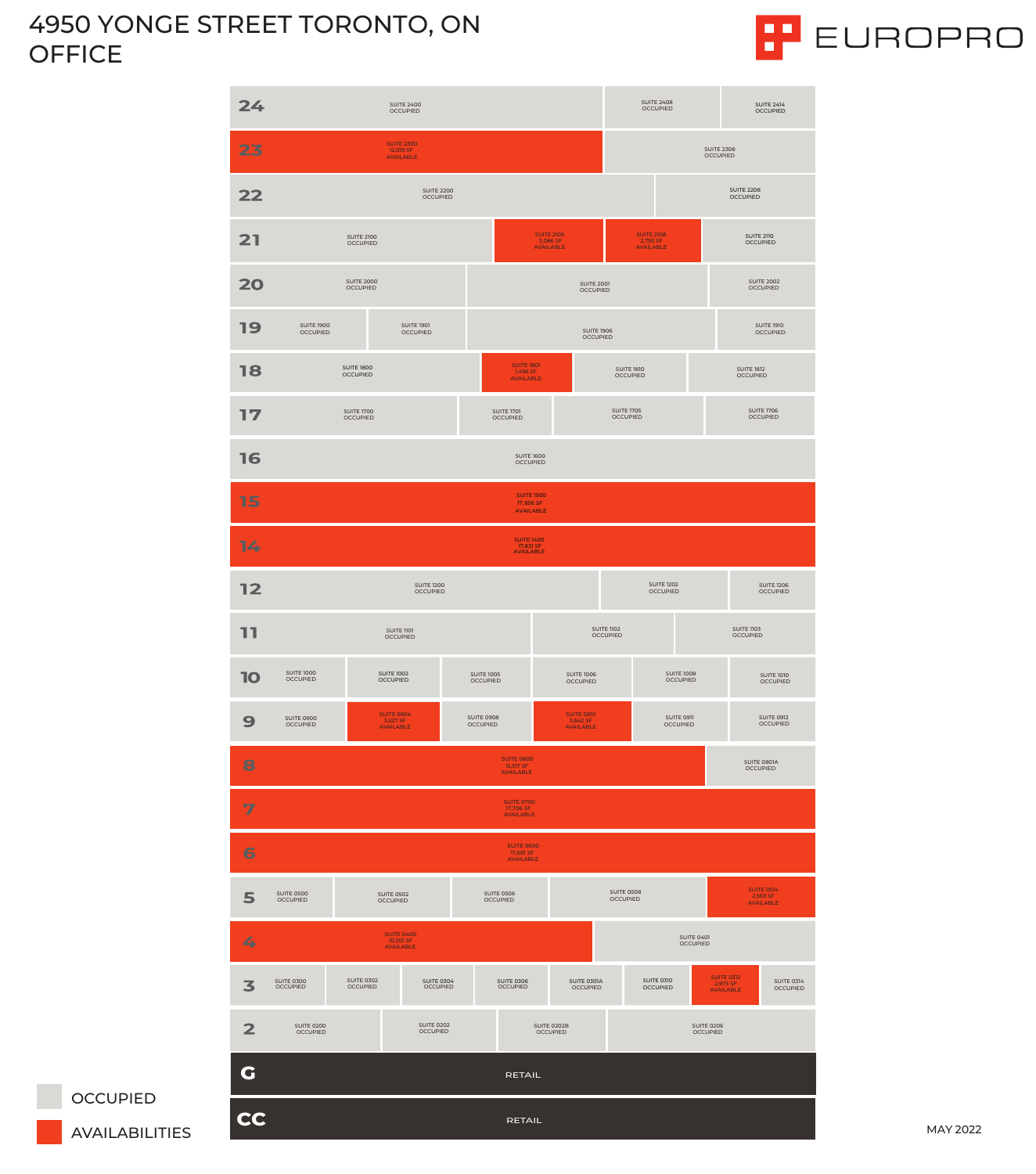## 4950 YONGE STREET TORONTO, ON OFFICE





| 17                  | <b>SUITE 1700</b><br><b>OCCUPIED</b>                                                 |                                                   |                                      | <b>SUITE 1701</b><br><b>OCCUPIED</b> |                                      | <b>SUITE 1705</b><br><b>OCCUPIED</b>       |  |                               |                                                   | <b>SUITE 1706</b><br><b>OCCUPIED</b>              |                                      |  |
|---------------------|--------------------------------------------------------------------------------------|---------------------------------------------------|--------------------------------------|--------------------------------------|--------------------------------------|--------------------------------------------|--|-------------------------------|---------------------------------------------------|---------------------------------------------------|--------------------------------------|--|
| 16                  |                                                                                      |                                                   | <b>SUITE 1600</b><br><b>OCCUPIED</b> |                                      |                                      |                                            |  |                               |                                                   |                                                   |                                      |  |
| 15                  | <b>SUITE 1500</b><br>17,856 SF<br><b>AVAILABLE</b>                                   |                                                   |                                      |                                      |                                      |                                            |  |                               |                                                   |                                                   |                                      |  |
| 14                  | <b>SUITE 1400</b><br>17,831 SF<br><b>AVAILABLE</b>                                   |                                                   |                                      |                                      |                                      |                                            |  |                               |                                                   |                                                   |                                      |  |
| 12                  | <b>SUITE 1200</b><br><b>OCCUPIED</b>                                                 |                                                   |                                      |                                      |                                      | <b>SUITE 1202</b><br><b>OCCUPIED</b>       |  |                               |                                                   | <b>SUITE 1206</b><br><b>OCCUPIED</b>              |                                      |  |
| דר                  | SUITE 1101<br><b>OCCUPIED</b>                                                        |                                                   |                                      |                                      | <b>SUITE 1102</b><br><b>OCCUPIED</b> |                                            |  |                               |                                                   |                                                   | <b>SUITE 1103</b><br><b>OCCUPIED</b> |  |
| 10                  | <b>SUITE 1000</b><br><b>OCCUPIED</b>                                                 | <b>SUITE 1002</b><br><b>OCCUPIED</b>              |                                      | <b>SUITE 1005</b><br><b>OCCUPIED</b> |                                      | <b>SUITE 1006</b><br><b>OCCUPIED</b>       |  |                               | <b>SUITE 1008</b><br><b>OCCUPIED</b>              |                                                   | <b>SUITE 1010</b><br><b>OCCUPIED</b> |  |
| 9                   | <b>SUITE 0900</b><br><b>OCCUPIED</b>                                                 | <b>SUITE 0904</b><br>3,527 SF<br><b>AVAILABLE</b> |                                      | <b>SUITE 0908</b><br><b>OCCUPIED</b> |                                      | SUITE 0910<br>3,842 SF<br><b>AVAILABLE</b> |  | SUITE 0911<br><b>OCCUPIED</b> |                                                   |                                                   | <b>SUITE 0912</b><br><b>OCCUPIED</b> |  |
| 8                   | <b>SUITE 0800</b><br>SUITE 0801A<br>15,317 SF<br><b>OCCUPIED</b><br><b>AVAILABLE</b> |                                                   |                                      |                                      |                                      |                                            |  |                               |                                                   |                                                   |                                      |  |
| $\overline{Z}$      | <b>SUITE 0700</b><br>17,706 SF<br><b>AVAILABLE</b>                                   |                                                   |                                      |                                      |                                      |                                            |  |                               |                                                   |                                                   |                                      |  |
| 6                   | <b>SUITE 0600</b><br>17,691 SF<br><b>AVAILABLE</b>                                   |                                                   |                                      |                                      |                                      |                                            |  |                               |                                                   |                                                   |                                      |  |
| 5                   | <b>SUITE 0500</b><br><b>OCCUPIED</b>                                                 | <b>SUITE 0502</b><br><b>OCCUPIED</b>              |                                      | <b>SUITE 0506</b><br><b>OCCUPIED</b> |                                      | <b>SUITE 0508</b><br><b>OCCUPIED</b>       |  |                               |                                                   | <b>SUITE 0514</b><br>2,563 SF<br><b>AVAILABLE</b> |                                      |  |
| 4                   |                                                                                      |                                                   |                                      |                                      |                                      | <b>SUITE 0401</b><br><b>OCCUPIED</b>       |  |                               |                                                   |                                                   |                                      |  |
| 3                   | <b>SUITE 0300</b><br><b>OCCUPIED</b>                                                 | <b>SUITE 0302</b><br><b>OCCUPIED</b>              | <b>SUITE 0304</b><br><b>OCCUPIED</b> | <b>SUITE 0306</b><br><b>OCCUPIED</b> |                                      | SUITE 0301A<br><b>OCCUPIED</b>             |  | SUITE 0310<br><b>OCCUPIED</b> | <b>SUITE 0312</b><br>2,975 SF<br><b>AVAILABLE</b> |                                                   | <b>SUITE 0314</b><br><b>OCCUPIED</b> |  |
| $\mathbf{2}$        | <b>SUITE 0200</b><br><b>OCCUPIED</b>                                                 | <b>SUITE 0202</b><br><b>OCCUPIED</b>              |                                      | SUITE 0202B<br><b>OCCUPIED</b>       |                                      |                                            |  |                               | <b>SUITE 0206</b><br><b>OCCUPIED</b>              |                                                   |                                      |  |
| G<br>RETAIL         |                                                                                      |                                                   |                                      |                                      |                                      |                                            |  |                               |                                                   |                                                   |                                      |  |
| CC<br><b>RETAIL</b> |                                                                                      |                                                   |                                      |                                      |                                      |                                            |  |                               |                                                   |                                                   |                                      |  |

OCCUPIED<br>AVAILABILITIES

**MAY 2022**